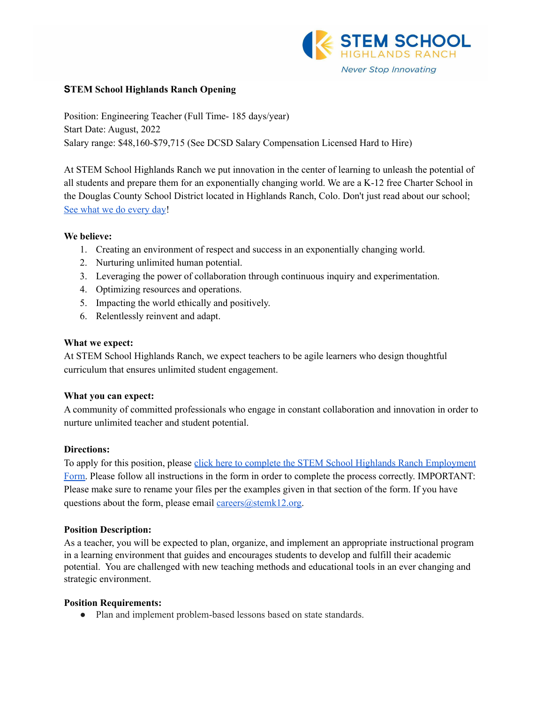

# **STEM School Highlands Ranch Opening**

Position: Engineering Teacher (Full Time- 185 days/year) Start Date: August, 2022 Salary range: \$48,160-\$79,715 (See DCSD Salary Compensation Licensed Hard to Hire)

At STEM School Highlands Ranch we put innovation in the center of learning to unleash the potential of all students and prepare them for an exponentially changing world. We are a K-12 free Charter School in the Douglas County School District located in Highlands Ranch, Colo. Don't just read about our school; See what we do [every](https://www.youtube.com/channel/UCEjas5mnML_7D6bnjE6cBXQ) day!

# **We believe:**

- 1. Creating an environment of respect and success in an exponentially changing world.
- 2. Nurturing unlimited human potential.
- 3. Leveraging the power of collaboration through continuous inquiry and experimentation.
- 4. Optimizing resources and operations.
- 5. Impacting the world ethically and positively.
- 6. Relentlessly reinvent and adapt.

# **What we expect:**

At STEM School Highlands Ranch, we expect teachers to be agile learners who design thoughtful curriculum that ensures unlimited student engagement.

# **What you can expect:**

A community of committed professionals who engage in constant collaboration and innovation in order to nurture unlimited teacher and student potential.

# **Directions:**

To apply for this position, please click here to complete the STEM School Highlands Ranch [Employment](https://docs.google.com/forms/d/e/1FAIpQLSfix8N5Y4r8UN-EoNntuUI_3ZGfalCIW_KiKAja-s9jkUit8g/viewform?usp=sf_link) [Form.](https://docs.google.com/forms/d/e/1FAIpQLSfix8N5Y4r8UN-EoNntuUI_3ZGfalCIW_KiKAja-s9jkUit8g/viewform?usp=sf_link) Please follow all instructions in the form in order to complete the process correctly. IMPORTANT: Please make sure to rename your files per the examples given in that section of the form. If you have questions about the form, please email careers $@$ stemk12.org.

#### **Position Description:**

As a teacher, you will be expected to plan, organize, and implement an appropriate instructional program in a learning environment that guides and encourages students to develop and fulfill their academic potential. You are challenged with new teaching methods and educational tools in an ever changing and strategic environment.

#### **Position Requirements:**

• Plan and implement problem-based lessons based on state standards.